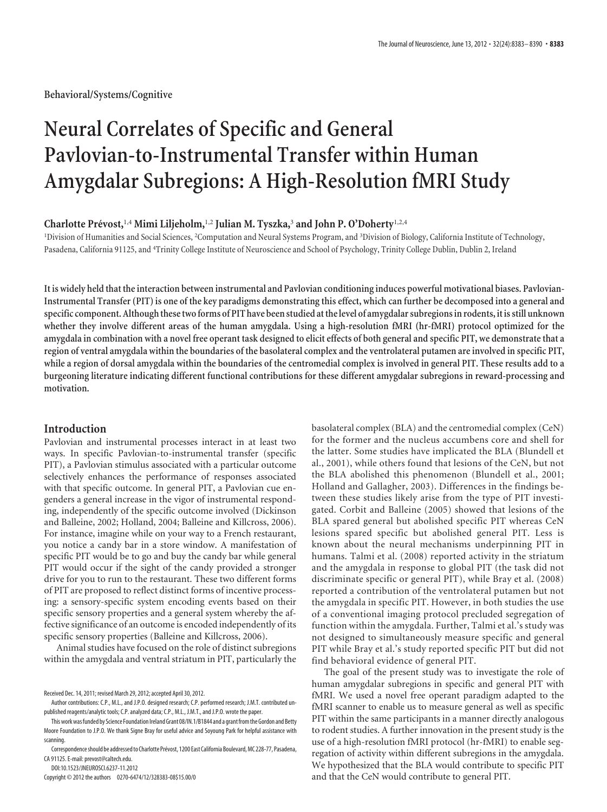**Behavioral/Systems/Cognitive**

# **Neural Correlates of Specific and General Pavlovian-to-Instrumental Transfer within Human Amygdalar Subregions: A High-Resolution fMRI Study**

### **Charlotte Pre´vost,**1,4 **Mimi Liljeholm,**1,2 **Julian M. Tyszka,**<sup>3</sup> **and John P. O'Doherty**1,2,4

<sup>1</sup>Division of Humanities and Social Sciences, <sup>2</sup>Computation and Neural Systems Program, and <sup>3</sup>Division of Biology, California Institute of Technology, Pasadena, California 91125, and <sup>4</sup> Trinity College Institute of Neuroscience and School of Psychology, Trinity College Dublin, Dublin 2, Ireland

**It is widely held that the interaction between instrumental and Pavlovian conditioning induces powerful motivational biases. Pavlovian-Instrumental Transfer (PIT) is one of the key paradigms demonstrating this effect, which can further be decomposed into a general and** specific component. Although these two forms of PIT have been studied at the level of amygdalar subregions in rodents, it is still unknown **whether they involve different areas of the human amygdala. Using a high-resolution fMRI (hr-fMRI) protocol optimized for the amygdala in combination with a novel free operant task designed to elicit effects of both general and specific PIT, we demonstrate that a region of ventral amygdala within the boundaries of the basolateral complex and the ventrolateral putamen are involved in specific PIT, while a region of dorsal amygdala within the boundaries of the centromedial complex is involved in general PIT. These results add to a burgeoning literature indicating different functional contributions for these different amygdalar subregions in reward-processing and motivation.**

# **Introduction**

Pavlovian and instrumental processes interact in at least two ways. In specific Pavlovian-to-instrumental transfer (specific PIT), a Pavlovian stimulus associated with a particular outcome selectively enhances the performance of responses associated with that specific outcome. In general PIT, a Pavlovian cue engenders a general increase in the vigor of instrumental responding, independently of the specific outcome involved (Dickinson and Balleine, 2002; Holland, 2004; Balleine and Killcross, 2006). For instance, imagine while on your way to a French restaurant, you notice a candy bar in a store window. A manifestation of specific PIT would be to go and buy the candy bar while general PIT would occur if the sight of the candy provided a stronger drive for you to run to the restaurant. These two different forms of PIT are proposed to reflect distinct forms of incentive processing: a sensory-specific system encoding events based on their specific sensory properties and a general system whereby the affective significance of an outcome is encoded independently of its specific sensory properties (Balleine and Killcross, 2006).

Animal studies have focused on the role of distinct subregions within the amygdala and ventral striatum in PIT, particularly the

DOI:10.1523/JNEUROSCI.6237-11.2012

Copyright © 2012 the authors 0270-6474/12/328383-08\$15.00/0

basolateral complex (BLA) and the centromedial complex (CeN) for the former and the nucleus accumbens core and shell for the latter. Some studies have implicated the BLA (Blundell et al., 2001), while others found that lesions of the CeN, but not the BLA abolished this phenomenon (Blundell et al., 2001; Holland and Gallagher, 2003). Differences in the findings between these studies likely arise from the type of PIT investigated. Corbit and Balleine (2005) showed that lesions of the BLA spared general but abolished specific PIT whereas CeN lesions spared specific but abolished general PIT. Less is known about the neural mechanisms underpinning PIT in humans. Talmi et al. (2008) reported activity in the striatum and the amygdala in response to global PIT (the task did not discriminate specific or general PIT), while Bray et al. (2008) reported a contribution of the ventrolateral putamen but not the amygdala in specific PIT. However, in both studies the use of a conventional imaging protocol precluded segregation of function within the amygdala. Further, Talmi et al.'s study was not designed to simultaneously measure specific and general PIT while Bray et al.'s study reported specific PIT but did not find behavioral evidence of general PIT.

The goal of the present study was to investigate the role of human amygdalar subregions in specific and general PIT with fMRI. We used a novel free operant paradigm adapted to the fMRI scanner to enable us to measure general as well as specific PIT within the same participants in a manner directly analogous to rodent studies. A further innovation in the present study is the use of a high-resolution fMRI protocol (hr-fMRI) to enable segregation of activity within different subregions in the amygdala. We hypothesized that the BLA would contribute to specific PIT and that the CeN would contribute to general PIT.

Received Dec. 14, 2011; revised March 29, 2012; accepted April 30, 2012.

Author contributions: C.P., M.L., and J.P.O. designed research; C.P. performed research; J.M.T. contributed unpublished reagents/analytic tools; C.P. analyzed data; C.P., M.L., J.M.T., and J.P.O. wrote the paper.

This work was funded by Science Foundation Ireland Grant 08/IN.1/B1844 and a grant from the Gordon and Betty Moore Foundation to J.P.O. We thank Signe Bray for useful advice and Soyoung Park for helpful assistance with scanning.

Correspondence should be addressed to Charlotte Prévost, 1200 East California Boulevard, MC 228-77, Pasadena, CA 91125. E-mail: prevost@caltech.edu.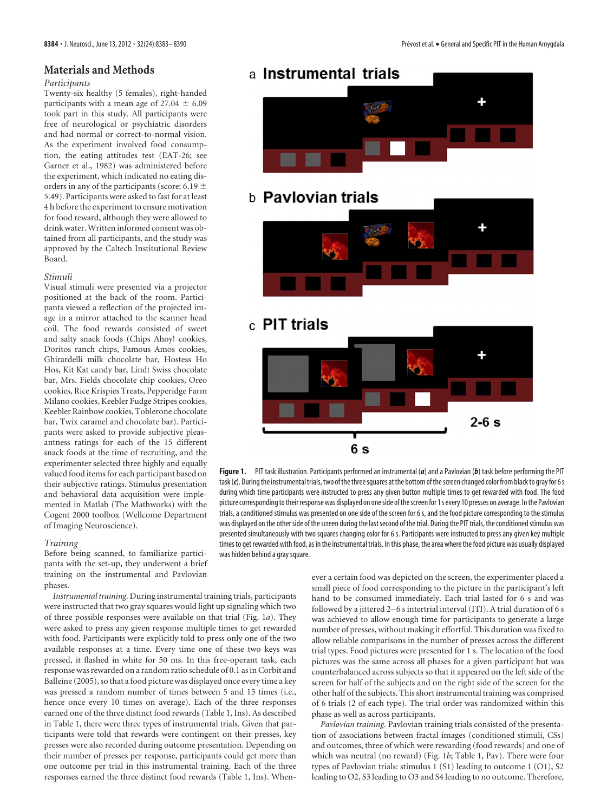### **Materials and Methods**

#### *Participants*

Twenty-six healthy (5 females), right-handed participants with a mean age of 27.04  $\pm$  6.09 took part in this study. All participants were free of neurological or psychiatric disorders and had normal or correct-to-normal vision. As the experiment involved food consumption, the eating attitudes test (EAT-26; see Garner et al., 1982) was administered before the experiment, which indicated no eating disorders in any of the participants (score: 6.19  $\pm$ 5.49). Participants were asked to fast for at least 4 h before the experiment to ensure motivation for food reward, although they were allowed to drink water.Written informed consent was obtained from all participants, and the study was approved by the Caltech Institutional Review Board.

#### *Stimuli*

Visual stimuli were presented via a projector positioned at the back of the room. Participants viewed a reflection of the projected image in a mirror attached to the scanner head coil. The food rewards consisted of sweet and salty snack foods (Chips Ahoy! cookies, Doritos ranch chips, Famous Amos cookies, Ghirardelli milk chocolate bar, Hostess Ho Hos, Kit Kat candy bar, Lindt Swiss chocolate bar, Mrs. Fields chocolate chip cookies, Oreo cookies, Rice Krispies Treats, Pepperidge Farm Milano cookies, Keebler Fudge Stripes cookies, Keebler Rainbow cookies, Toblerone chocolate bar, Twix caramel and chocolate bar). Participants were asked to provide subjective pleasantness ratings for each of the 15 different snack foods at the time of recruiting, and the experimenter selected three highly and equally valued food items for each participant based on their subjective ratings. Stimulus presentation and behavioral data acquisition were implemented in Matlab (The Mathworks) with the Cogent 2000 toolbox (Wellcome Department of Imaging Neuroscience).

#### *Training*

Before being scanned, to familiarize participants with the set-up, they underwent a brief training on the instrumental and Pavlovian phases.

*Instrumental training.* During instrumental training trials, participants were instructed that two gray squares would light up signaling which two of three possible responses were available on that trial (Fig. 1*a*). They were asked to press any given response multiple times to get rewarded with food. Participants were explicitly told to press only one of the two available responses at a time. Every time one of these two keys was pressed, it flashed in white for 50 ms. In this free-operant task, each response was rewarded on a random ratio schedule of 0.1 as in Corbit and Balleine (2005), so that a food picture was displayed once every time a key was pressed a random number of times between 5 and 15 times (i.e., hence once every 10 times on average). Each of the three responses earned one of the three distinct food rewards (Table 1, Ins). As described in Table 1, there were three types of instrumental trials. Given that participants were told that rewards were contingent on their presses, key presses were also recorded during outcome presentation. Depending on their number of presses per response, participants could get more than one outcome per trial in this instrumental training. Each of the three responses earned the three distinct food rewards (Table 1, Ins). When-

# a Instrumental trials



# **b** Pavlovian trials



# c PIT trials



**Figure 1.** PIT task illustration. Participants performed an instrumental (*a*) and a Pavlovian (*b*) task before performing the PIT task (c). During the instrumental trials, two of the three squares at the bottom of the screen changed color from black to gray for 6 s during which time participants were instructed to press any given button multiple times to get rewarded with food. The food picture corresponding to their response was displayed on one side of the screen for 1s every 10 presses on average. In the Pavlovian trials, a conditioned stimulus was presented on one side of the screen for 6 s, and the food picture corresponding to the stimulus was displayed on the other side of the screen during the last second of the trial. During the PIT trials, the conditioned stimulus was presented simultaneously with two squares changing color for 6 s. Participants were instructed to press any given key multiple times to get rewarded with food, as in the instrumental trials. In this phase, the area where the food picture was usually displayed was hidden behind a gray square.

> ever a certain food was depicted on the screen, the experimenter placed a small piece of food corresponding to the picture in the participant's left hand to be consumed immediately. Each trial lasted for 6 s and was followed by a jittered 2–6 s intertrial interval (ITI). A trial duration of 6 s was achieved to allow enough time for participants to generate a large number of presses, without making it effortful. This duration was fixed to allow reliable comparisons in the number of presses across the different trial types. Food pictures were presented for 1 s. The location of the food pictures was the same across all phases for a given participant but was counterbalanced across subjects so that it appeared on the left side of the screen for half of the subjects and on the right side of the screen for the other half of the subjects. This short instrumental training was comprised of 6 trials (2 of each type). The trial order was randomized within this phase as well as across participants.

> *Pavlovian training.* Pavlovian training trials consisted of the presentation of associations between fractal images (conditioned stimuli, CSs) and outcomes, three of which were rewarding (food rewards) and one of which was neutral (no reward) (Fig. 1*b*; Table 1, Pav). There were four types of Pavlovian trials: stimulus 1 (S1) leading to outcome 1 (O1), S2 leading to O2, S3 leading to O3 and S4 leading to no outcome. Therefore,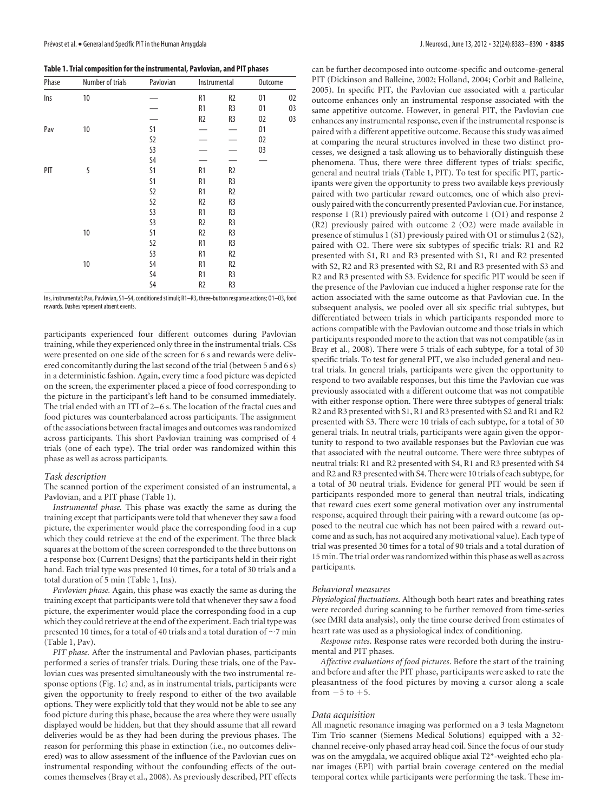| Phase<br>Ins | Number of trials<br>10 | Pavlovian      | Instrumental   |                | Outcome |    |
|--------------|------------------------|----------------|----------------|----------------|---------|----|
|              |                        |                | R1             | R <sub>2</sub> | 01      | 02 |
|              |                        |                | R1             | R3             | 01      | 03 |
|              |                        |                | R <sub>2</sub> | R <sub>3</sub> | 02      | 03 |
| Pav          | 10                     | S1             |                |                | 01      |    |
|              |                        | S <sub>2</sub> |                |                | 02      |    |
|              |                        | S3             |                |                | 03      |    |
|              |                        | S4             |                |                |         |    |
| PIT          | 5                      | S1             | R1             | R <sub>2</sub> |         |    |
|              |                        | S1             | R1             | R3             |         |    |
|              |                        | S <sub>2</sub> | R1             | R <sub>2</sub> |         |    |
|              |                        | S <sub>2</sub> | R <sub>2</sub> | R3             |         |    |
|              |                        | S3             | R1             | R3             |         |    |
|              |                        | S3             | R <sub>2</sub> | R3             |         |    |
|              | 10                     | S1             | R <sub>2</sub> | R3             |         |    |
|              |                        | S <sub>2</sub> | R1             | R3             |         |    |
|              |                        | S3             | R1             | R <sub>2</sub> |         |    |
|              | 10                     | S4             | R1             | R <sub>2</sub> |         |    |
|              |                        | S4             | R1             | R3             |         |    |
|              |                        | S4             | R <sub>2</sub> | R <sub>3</sub> |         |    |

Ins, instrumental; Pav, Pavlovian, S1–S4, conditioned stimuli; R1–R3, three-button response actions; O1–O3, food rewards. Dashes represent absent events.

participants experienced four different outcomes during Pavlovian training, while they experienced only three in the instrumental trials. CSs were presented on one side of the screen for 6 s and rewards were delivered concomitantly during the last second of the trial (between 5 and 6 s) in a deterministic fashion. Again, every time a food picture was depicted on the screen, the experimenter placed a piece of food corresponding to the picture in the participant's left hand to be consumed immediately. The trial ended with an ITI of 2–6 s. The location of the fractal cues and food pictures was counterbalanced across participants. The assignment of the associations between fractal images and outcomes was randomized across participants. This short Pavlovian training was comprised of 4 trials (one of each type). The trial order was randomized within this phase as well as across participants.

#### *Task description*

The scanned portion of the experiment consisted of an instrumental, a Pavlovian, and a PIT phase (Table 1).

*Instrumental phase.* This phase was exactly the same as during the training except that participants were told that whenever they saw a food picture, the experimenter would place the corresponding food in a cup which they could retrieve at the end of the experiment. The three black squares at the bottom of the screen corresponded to the three buttons on a response box (Current Designs) that the participants held in their right hand. Each trial type was presented 10 times, for a total of 30 trials and a total duration of 5 min (Table 1, Ins).

*Pavlovian phase.* Again, this phase was exactly the same as during the training except that participants were told that whenever they saw a food picture, the experimenter would place the corresponding food in a cup which they could retrieve at the end of the experiment. Each trial type was presented 10 times, for a total of 40 trials and a total duration of  ${\sim}7$  min (Table 1, Pav).

*PIT phase.* After the instrumental and Pavlovian phases, participants performed a series of transfer trials. During these trials, one of the Pavlovian cues was presented simultaneously with the two instrumental response options (Fig. 1*c*) and, as in instrumental trials, participants were given the opportunity to freely respond to either of the two available options. They were explicitly told that they would not be able to see any food picture during this phase, because the area where they were usually displayed would be hidden, but that they should assume that all reward deliveries would be as they had been during the previous phases. The reason for performing this phase in extinction (i.e., no outcomes delivered) was to allow assessment of the influence of the Pavlovian cues on instrumental responding without the confounding effects of the outcomes themselves (Bray et al., 2008). As previously described, PIT effects

can be further decomposed into outcome-specific and outcome-general PIT (Dickinson and Balleine, 2002; Holland, 2004; Corbit and Balleine, 2005). In specific PIT, the Pavlovian cue associated with a particular outcome enhances only an instrumental response associated with the same appetitive outcome. However, in general PIT, the Pavlovian cue enhances any instrumental response, even if the instrumental response is paired with a different appetitive outcome. Because this study was aimed at comparing the neural structures involved in these two distinct processes, we designed a task allowing us to behaviorally distinguish these phenomena. Thus, there were three different types of trials: specific, general and neutral trials (Table 1, PIT). To test for specific PIT, participants were given the opportunity to press two available keys previously paired with two particular reward outcomes, one of which also previously paired with the concurrently presented Pavlovian cue. For instance, response 1 (R1) previously paired with outcome 1 (O1) and response 2 (R2) previously paired with outcome 2 (O2) were made available in presence of stimulus 1 (S1) previously paired with O1 or stimulus 2 (S2), paired with O2. There were six subtypes of specific trials: R1 and R2 presented with S1, R1 and R3 presented with S1, R1 and R2 presented with S2, R2 and R3 presented with S2, R1 and R3 presented with S3 and R2 and R3 presented with S3. Evidence for specific PIT would be seen if the presence of the Pavlovian cue induced a higher response rate for the action associated with the same outcome as that Pavlovian cue. In the subsequent analysis, we pooled over all six specific trial subtypes, but differentiated between trials in which participants responded more to actions compatible with the Pavlovian outcome and those trials in which participants responded more to the action that was not compatible (as in Bray et al., 2008). There were 5 trials of each subtype, for a total of 30 specific trials. To test for general PIT, we also included general and neutral trials. In general trials, participants were given the opportunity to respond to two available responses, but this time the Pavlovian cue was previously associated with a different outcome that was not compatible with either response option. There were three subtypes of general trials: R2 and R3 presented with S1, R1 and R3 presented with S2 and R1 and R2 presented with S3. There were 10 trials of each subtype, for a total of 30 general trials. In neutral trials, participants were again given the opportunity to respond to two available responses but the Pavlovian cue was that associated with the neutral outcome. There were three subtypes of neutral trials: R1 and R2 presented with S4, R1 and R3 presented with S4 and R2 and R3 presented with S4. There were 10 trials of each subtype, for a total of 30 neutral trials. Evidence for general PIT would be seen if participants responded more to general than neutral trials, indicating that reward cues exert some general motivation over any instrumental response, acquired through their pairing with a reward outcome (as opposed to the neutral cue which has not been paired with a reward outcome and as such, has not acquired any motivational value). Each type of trial was presented 30 times for a total of 90 trials and a total duration of 15 min. The trial order was randomized within this phase as well as across participants.

#### *Behavioral measures*

*Physiological fluctuations*. Although both heart rates and breathing rates were recorded during scanning to be further removed from time-series (see fMRI data analysis), only the time course derived from estimates of heart rate was used as a physiological index of conditioning.

*Response rates*. Response rates were recorded both during the instrumental and PIT phases.

*Affective evaluations of food pictures*. Before the start of the training and before and after the PIT phase, participants were asked to rate the pleasantness of the food pictures by moving a cursor along a scale from  $-5$  to  $+5$ .

#### *Data acquisition*

All magnetic resonance imaging was performed on a 3 tesla Magnetom Tim Trio scanner (Siemens Medical Solutions) equipped with a 32 channel receive-only phased array head coil. Since the focus of our study was on the amygdala, we acquired oblique axial T2\*-weighted echo planar images (EPI) with partial brain coverage centered on the medial temporal cortex while participants were performing the task. These im-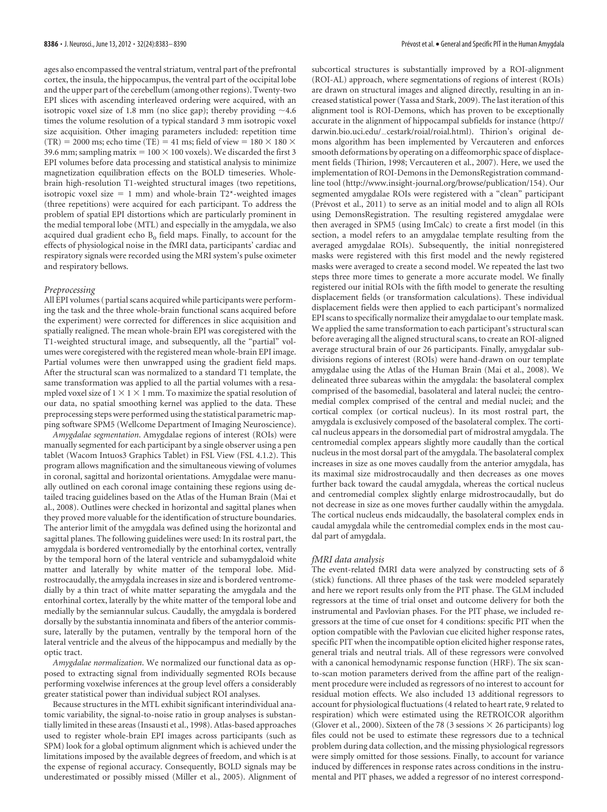ages also encompassed the ventral striatum, ventral part of the prefrontal cortex, the insula, the hippocampus, the ventral part of the occipital lobe and the upper part of the cerebellum (among other regions). Twenty-two EPI slices with ascending interleaved ordering were acquired, with an isotropic voxel size of 1.8 mm (no slice gap); thereby providing  $~1.6$ times the volume resolution of a typical standard 3 mm isotropic voxel size acquisition. Other imaging parameters included: repetition time (TR) = 2000 ms; echo time (TE) = 41 ms; field of view =  $180 \times 180 \times$ 39.6 mm; sampling matrix =  $100 \times 100$  voxels). We discarded the first 3 EPI volumes before data processing and statistical analysis to minimize magnetization equilibration effects on the BOLD timeseries. Wholebrain high-resolution T1-weighted structural images (two repetitions, isotropic voxel size  $= 1$  mm) and whole-brain T2\*-weighted images (three repetitions) were acquired for each participant. To address the problem of spatial EPI distortions which are particularly prominent in the medial temporal lobe (MTL) and especially in the amygdala, we also acquired dual gradient echo  $B_0$  field maps. Finally, to account for the effects of physiological noise in the fMRI data, participants' cardiac and respiratory signals were recorded using the MRI system's pulse oximeter and respiratory bellows.

#### *Preprocessing*

All EPI volumes ( partial scans acquired while participants were performing the task and the three whole-brain functional scans acquired before the experiment) were corrected for differences in slice acquisition and spatially realigned. The mean whole-brain EPI was coregistered with the T1-weighted structural image, and subsequently, all the "partial" volumes were coregistered with the registered mean whole-brain EPI image. Partial volumes were then unwrapped using the gradient field maps. After the structural scan was normalized to a standard T1 template, the same transformation was applied to all the partial volumes with a resampled voxel size of 1  $\times$  1  $\times$  1 mm. To maximize the spatial resolution of our data, no spatial smoothing kernel was applied to the data. These preprocessing steps were performed using the statistical parametric mapping software SPM5 (Wellcome Department of Imaging Neuroscience).

*Amygdalae segmentation*. Amygdalae regions of interest (ROIs) were manually segmented for each participant by a single observer using a pen tablet (Wacom Intuos3 Graphics Tablet) in FSL View (FSL 4.1.2). This program allows magnification and the simultaneous viewing of volumes in coronal, sagittal and horizontal orientations. Amygdalae were manually outlined on each coronal image containing these regions using detailed tracing guidelines based on the Atlas of the Human Brain (Mai et al., 2008). Outlines were checked in horizontal and sagittal planes when they proved more valuable for the identification of structure boundaries. The anterior limit of the amygdala was defined using the horizontal and sagittal planes. The following guidelines were used: In its rostral part, the amygdala is bordered ventromedially by the entorhinal cortex, ventrally by the temporal horn of the lateral ventricle and subamygdaloid white matter and laterally by white matter of the temporal lobe. Midrostrocaudally, the amygdala increases in size and is bordered ventromedially by a thin tract of white matter separating the amygdala and the entorhinal cortex, laterally by the white matter of the temporal lobe and medially by the semiannular sulcus. Caudally, the amygdala is bordered dorsally by the substantia innominata and fibers of the anterior commissure, laterally by the putamen, ventrally by the temporal horn of the lateral ventricle and the alveus of the hippocampus and medially by the optic tract.

*Amygdalae normalization*. We normalized our functional data as opposed to extracting signal from individually segmented ROIs because performing voxelwise inferences at the group level offers a considerably greater statistical power than individual subject ROI analyses.

Because structures in the MTL exhibit significant interindividual anatomic variability, the signal-to-noise ratio in group analyses is substantially limited in these areas (Insausti et al., 1998). Atlas-based approaches used to register whole-brain EPI images across participants (such as SPM) look for a global optimum alignment which is achieved under the limitations imposed by the available degrees of freedom, and which is at the expense of regional accuracy. Consequently, BOLD signals may be underestimated or possibly missed (Miller et al., 2005). Alignment of subcortical structures is substantially improved by a ROI-alignment (ROI-AL) approach, where segmentations of regions of interest (ROIs) are drawn on structural images and aligned directly, resulting in an increased statistical power (Yassa and Stark, 2009). The last iteration of this alignment tool is ROI-Demons, which has proven to be exceptionally accurate in the alignment of hippocampal subfields for instance (http:// darwin.bio.uci.edu/-cestark/roial/roial.html). Thirion's original demons algorithm has been implemented by Vercauteren and enforces smooth deformations by operating on a diffeomorphic space of displacement fields (Thirion, 1998; Vercauteren et al., 2007). Here, we used the implementation of ROI-Demons in the DemonsRegistration commandline tool (http://www.insight-journal.org/browse/publication/154). Our segmented amygdalae ROIs were registered with a "clean" participant (Prévost et al., 2011) to serve as an initial model and to align all ROIs using DemonsRegistration. The resulting registered amygdalae were then averaged in SPM5 (using ImCalc) to create a first model (in this section, a model refers to an amygdalae template resulting from the averaged amygdalae ROIs). Subsequently, the initial nonregistered masks were registered with this first model and the newly registered masks were averaged to create a second model. We repeated the last two steps three more times to generate a more accurate model. We finally registered our initial ROIs with the fifth model to generate the resulting displacement fields (or transformation calculations). These individual displacement fields were then applied to each participant's normalized EPI scans to specifically normalize their amygdalae to our template mask. We applied the same transformation to each participant's structural scan before averaging all the aligned structural scans, to create an ROI-aligned average structural brain of our 26 participants. Finally, amygdalar subdivisions regions of interest (ROIs) were hand-drawn on our template amygdalae using the Atlas of the Human Brain (Mai et al., 2008). We delineated three subareas within the amygdala: the basolateral complex comprised of the basomedial, basolateral and lateral nuclei; the centromedial complex comprised of the central and medial nuclei; and the cortical complex (or cortical nucleus). In its most rostral part, the amygdala is exclusively composed of the basolateral complex. The cortical nucleus appears in the dorsomedial part of midrostral amygdala. The centromedial complex appears slightly more caudally than the cortical nucleus in the most dorsal part of the amygdala. The basolateral complex increases in size as one moves caudally from the anterior amygdala, has its maximal size midrostrocaudally and then decreases as one moves further back toward the caudal amygdala, whereas the cortical nucleus and centromedial complex slightly enlarge midrostrocaudally, but do not decrease in size as one moves further caudally within the amygdala. The cortical nucleus ends midcaudally, the basolateral complex ends in caudal amygdala while the centromedial complex ends in the most caudal part of amygdala.

#### *fMRI data analysis*

The event-related fMRI data were analyzed by constructing sets of  $\delta$ (stick) functions. All three phases of the task were modeled separately and here we report results only from the PIT phase. The GLM included regressors at the time of trial onset and outcome delivery for both the instrumental and Pavlovian phases. For the PIT phase, we included regressors at the time of cue onset for 4 conditions: specific PIT when the option compatible with the Pavlovian cue elicited higher response rates, specific PIT when the incompatible option elicited higher response rates, general trials and neutral trials. All of these regressors were convolved with a canonical hemodynamic response function (HRF). The six scanto-scan motion parameters derived from the affine part of the realignment procedure were included as regressors of no interest to account for residual motion effects. We also included 13 additional regressors to account for physiological fluctuations (4 related to heart rate, 9 related to respiration) which were estimated using the RETROICOR algorithm (Glover et al., 2000). Sixteen of the 78 (3 sessions  $\times$  26 participants) log files could not be used to estimate these regressors due to a technical problem during data collection, and the missing physiological regressors were simply omitted for those sessions. Finally, to account for variance induced by differences in response rates across conditions in the instrumental and PIT phases, we added a regressor of no interest correspond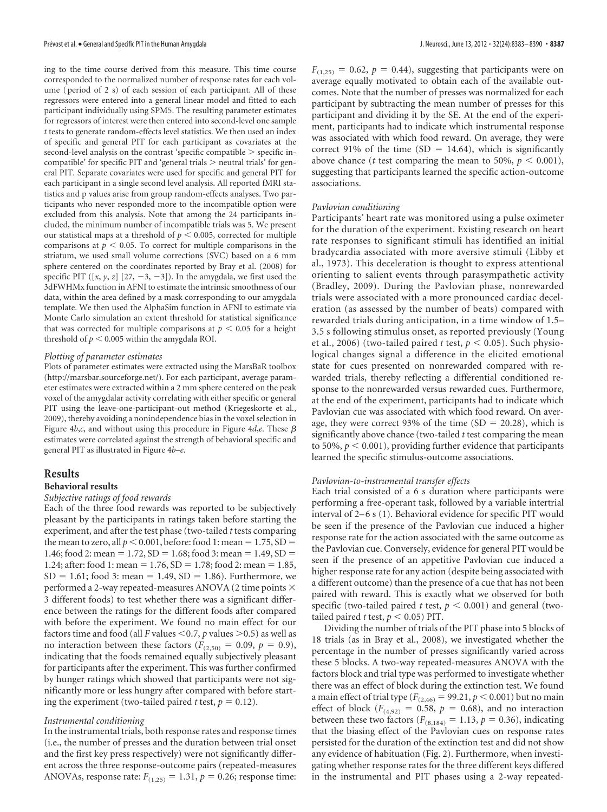ing to the time course derived from this measure. This time course corresponded to the normalized number of response rates for each volume ( period of 2 s) of each session of each participant. All of these regressors were entered into a general linear model and fitted to each participant individually using SPM5. The resulting parameter estimates for regressors of interest were then entered into second-level one sample *t* tests to generate random-effects level statistics. We then used an index of specific and general PIT for each participant as covariates at the second-level analysis on the contrast 'specific compatible  $>$  specific incompatible' for specific PIT and 'general trials  $>$  neutral trials' for general PIT. Separate covariates were used for specific and general PIT for each participant in a single second level analysis. All reported fMRI statistics and p values arise from group random-effects analyses. Two participants who never responded more to the incompatible option were excluded from this analysis. Note that among the 24 participants included, the minimum number of incompatible trials was 5. We present our statistical maps at a threshold of  $p < 0.005$ , corrected for multiple comparisons at  $p < 0.05$ . To correct for multiple comparisons in the striatum, we used small volume corrections (SVC) based on a 6 mm sphere centered on the coordinates reported by Bray et al. (2008) for specific PIT  $([x, y, z] [27, -3, -3])$ . In the amygdala, we first used the 3dFWHMx function in AFNI to estimate the intrinsic smoothness of our data, within the area defined by a mask corresponding to our amygdala template. We then used the AlphaSim function in AFNI to estimate via Monte Carlo simulation an extent threshold for statistical significance that was corrected for multiple comparisons at  $p < 0.05$  for a height threshold of  $p < 0.005$  within the amygdala ROI.

#### *Plotting of parameter estimates*

Plots of parameter estimates were extracted using the MarsBaR toolbox (http://marsbar.sourceforge.net/). For each participant, average parameter estimates were extracted within a 2 mm sphere centered on the peak voxel of the amygdalar activity correlating with either specific or general PIT using the leave-one-participant-out method (Kriegeskorte et al., 2009), thereby avoiding a nonindependence bias in the voxel selection in Figure  $4b$ ,*c*, and without using this procedure in Figure  $4d$ ,*e*. These  $\beta$ estimates were correlated against the strength of behavioral specific and general PIT as illustrated in Figure 4*b*–*e*.

### **Results**

#### **Behavioral results**

#### *Subjective ratings of food rewards*

Each of the three food rewards was reported to be subjectively pleasant by the participants in ratings taken before starting the experiment, and after the test phase (two-tailed *t* tests comparing the mean to zero, all  $p < 0.001$ , before: food 1: mean = 1.75, SD = 1.46; food 2: mean  $= 1.72$ , SD  $= 1.68$ ; food 3: mean  $= 1.49$ , SD  $=$ 1.24; after: food 1: mean =  $1.76$ , SD = 1.78; food 2: mean = 1.85,  $SD = 1.61$ ; food 3: mean = 1.49,  $SD = 1.86$ ). Furthermore, we performed a 2-way repeated-measures ANOVA (2 time points 3 different foods) to test whether there was a significant difference between the ratings for the different foods after compared with before the experiment. We found no main effect for our factors time and food (all  $F$  values  $\leq 0.7$ ,  $p$  values  $\geq 0.5$ ) as well as no interaction between these factors  $(F_{(2,50)} = 0.09, p = 0.9)$ , indicating that the foods remained equally subjectively pleasant for participants after the experiment. This was further confirmed by hunger ratings which showed that participants were not significantly more or less hungry after compared with before starting the experiment (two-tailed paired *t* test,  $p = 0.12$ ).

#### *Instrumental conditioning*

In the instrumental trials, both response rates and response times (i.e., the number of presses and the duration between trial onset and the first key press respectively) were not significantly different across the three response-outcome pairs (repeated-measures ANOVAs, response rate:  $F_{(1,25)} = 1.31$ ,  $p = 0.26$ ; response time:  $F_{(1,25)} = 0.62$ ,  $p = 0.44$ ), suggesting that participants were on average equally motivated to obtain each of the available outcomes. Note that the number of presses was normalized for each participant by subtracting the mean number of presses for this participant and dividing it by the SE. At the end of the experiment, participants had to indicate which instrumental response was associated with which food reward. On average, they were correct 91% of the time (SD = 14.64), which is significantly above chance (*t* test comparing the mean to 50%,  $p < 0.001$ ), suggesting that participants learned the specific action-outcome associations.

#### *Pavlovian conditioning*

Participants' heart rate was monitored using a pulse oximeter for the duration of the experiment. Existing research on heart rate responses to significant stimuli has identified an initial bradycardia associated with more aversive stimuli (Libby et al., 1973). This deceleration is thought to express attentional orienting to salient events through parasympathetic activity (Bradley, 2009). During the Pavlovian phase, nonrewarded trials were associated with a more pronounced cardiac deceleration (as assessed by the number of beats) compared with rewarded trials during anticipation, in a time window of 1.5– 3.5 s following stimulus onset, as reported previously (Young et al., 2006) (two-tailed paired *t* test,  $p < 0.05$ ). Such physiological changes signal a difference in the elicited emotional state for cues presented on nonrewarded compared with rewarded trials, thereby reflecting a differential conditioned response to the nonrewarded versus rewarded cues. Furthermore, at the end of the experiment, participants had to indicate which Pavlovian cue was associated with which food reward. On average, they were correct 93% of the time (SD = 20.28), which is significantly above chance (two-tailed *t* test comparing the mean to 50%,  $p < 0.001$ ), providing further evidence that participants learned the specific stimulus-outcome associations.

#### *Pavlovian-to-instrumental transfer effects*

Each trial consisted of a 6 s duration where participants were performing a free-operant task, followed by a variable intertrial interval of 2–6 s (1). Behavioral evidence for specific PIT would be seen if the presence of the Pavlovian cue induced a higher response rate for the action associated with the same outcome as the Pavlovian cue. Conversely, evidence for general PIT would be seen if the presence of an appetitive Pavlovian cue induced a higher response rate for any action (despite being associated with a different outcome) than the presence of a cue that has not been paired with reward. This is exactly what we observed for both specific (two-tailed paired *t* test,  $p < 0.001$ ) and general (twotailed paired *t* test,  $p < 0.05$ ) PIT.

Dividing the number of trials of the PIT phase into 5 blocks of 18 trials (as in Bray et al., 2008), we investigated whether the percentage in the number of presses significantly varied across these 5 blocks. A two-way repeated-measures ANOVA with the factors block and trial type was performed to investigate whether there was an effect of block during the extinction test. We found a main effect of trial type ( $F_{(2,46)} = 99.21, p \lt 0.001$ ) but no main effect of block ( $F_{(4,92)} = 0.58$ ,  $p = 0.68$ ), and no interaction between these two factors ( $F_{(8,184)} = 1.13$ ,  $p = 0.36$ ), indicating that the biasing effect of the Pavlovian cues on response rates persisted for the duration of the extinction test and did not show any evidence of habituation (Fig. 2). Furthermore, when investigating whether response rates for the three different keys differed in the instrumental and PIT phases using a 2-way repeated-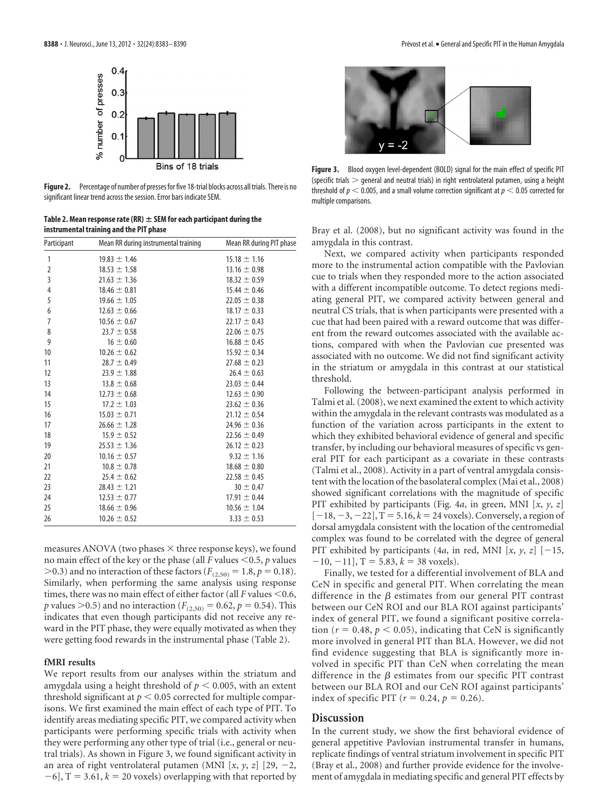

Figure 2. Percentage of number of presses for five 18-trial blocks across all trials. There is no significant linear trend across the session. Error bars indicate SEM.

**Table 2. Mean response rate (RR) SEM for each participant during the instrumental training and the PIT phase**

| Participant    | Mean RR during instrumental training | Mean RR during PIT phase |
|----------------|--------------------------------------|--------------------------|
| 1              | $19.83 \pm 1.46$                     | $15.18 \pm 1.16$         |
| $\overline{2}$ | $18.53 \pm 1.58$                     | $13.16 \pm 0.98$         |
| $\overline{3}$ | $21.63 \pm 1.36$                     | $18.32 \pm 0.59$         |
| $\overline{4}$ | $18.46 \pm 0.81$                     | $15.44 \pm 0.46$         |
| 5              | $19.66 \pm 1.05$                     | $22.05 \pm 0.38$         |
| 6              | $12.63 \pm 0.66$                     | $18.17 \pm 0.33$         |
| $\overline{7}$ | $10.56 \pm 0.67$                     | $22.17 \pm 0.43$         |
| 8              | $23.7 \pm 0.58$                      | $22.06 \pm 0.75$         |
| 9              | $16 \pm 0.60$                        | $16.88 \pm 0.45$         |
| 10             | $10.26 \pm 0.62$                     | $15.92 \pm 0.34$         |
| 11             | $28.7 \pm 0.49$                      | $27.68 \pm 0.23$         |
| 12             | $23.9 \pm 1.88$                      | $26.4 \pm 0.63$          |
| 13             | $13.8 \pm 0.68$                      | $23.03 \pm 0.44$         |
| 14             | $12.73 \pm 0.68$                     | $12.63 \pm 0.90$         |
| 15             | $17.2 \pm 1.03$                      | $23.62 \pm 0.36$         |
| 16             | $15.03 \pm 0.71$                     | $21.12 \pm 0.54$         |
| 17             | $26.66 \pm 1.28$                     | 24.96 $\pm$ 0.36         |
| 18             | $15.9 \pm 0.52$                      | $22.56 \pm 0.49$         |
| 19             | $25.53 \pm 1.36$                     | $26.12 \pm 0.23$         |
| 20             | $10.16 \pm 0.57$                     | $9.32 \pm 1.16$          |
| 21             | $10.8 \pm 0.78$                      | $18.68 \pm 0.80$         |
| 22             | $25.4 \pm 0.62$                      | $22.58 \pm 0.45$         |
| 23             | $28.43 \pm 1.21$                     | $30 \pm 0.47$            |
| 24             | $12.53 \pm 0.77$                     | $17.91 \pm 0.44$         |
| 25             | $18.66 \pm 0.96$                     | $10.56 \pm 1.04$         |
| 26             | $10.26 \pm 0.52$                     | $3.33 \pm 0.53$          |

measures ANOVA (two phases  $\times$  three response keys), we found no main effect of the key or the phase (all  $F$  values  $\leq 0.5$ ,  $p$  values  $(50.3)$  and no interaction of these factors ( $F_{(2,50)} = 1.8$ ,  $p = 0.18$ ). Similarly, when performing the same analysis using response times, there was no main effect of either factor (all  $F$  values  $\leq 0.6$ , *p* values >0.5) and no interaction ( $F_{(2,50)} = 0.62$ ,  $p = 0.54$ ). This indicates that even though participants did not receive any reward in the PIT phase, they were equally motivated as when they were getting food rewards in the instrumental phase (Table 2).

#### **fMRI results**

We report results from our analyses within the striatum and amygdala using a height threshold of  $p < 0.005$ , with an extent threshold significant at  $p < 0.05$  corrected for multiple comparisons. We first examined the main effect of each type of PIT. To identify areas mediating specific PIT, we compared activity when participants were performing specific trials with activity when they were performing any other type of trial (i.e., general or neutral trials). As shown in Figure 3, we found significant activity in an area of right ventrolateral putamen (MNI  $[x, y, z]$  [29, -2,  $-6$ , T = 3.61,  $k = 20$  voxels) overlapping with that reported by



Figure 3. Blood oxygen level-dependent (BOLD) signal for the main effect of specific PIT (specific trials  $>$  general and neutral trials) in right ventrolateral putamen, using a height threshold of  $p < 0.005$ , and a small volume correction significant at  $p < 0.05$  corrected for multiple comparisons.

Bray et al. (2008), but no significant activity was found in the amygdala in this contrast.

Next, we compared activity when participants responded more to the instrumental action compatible with the Pavlovian cue to trials when they responded more to the action associated with a different incompatible outcome. To detect regions mediating general PIT, we compared activity between general and neutral CS trials, that is when participants were presented with a cue that had been paired with a reward outcome that was different from the reward outcomes associated with the available actions, compared with when the Pavlovian cue presented was associated with no outcome. We did not find significant activity in the striatum or amygdala in this contrast at our statistical threshold.

Following the between-participant analysis performed in Talmi et al. (2008), we next examined the extent to which activity within the amygdala in the relevant contrasts was modulated as a function of the variation across participants in the extent to which they exhibited behavioral evidence of general and specific transfer, by including our behavioral measures of specific vs general PIT for each participant as a covariate in these contrasts (Talmi et al., 2008). Activity in a part of ventral amygdala consistent with the location of the basolateral complex (Mai et al., 2008) showed significant correlations with the magnitude of specific PIT exhibited by participants (Fig. 4*a*, in green, MNI [*x*, *y*, *z*]  $[-18, -3, -22]$ ,  $T = 5.16$ ,  $k = 24$  voxels). Conversely, a region of dorsal amygdala consistent with the location of the centromedial complex was found to be correlated with the degree of general PIT exhibited by participants (4*a*, in red, MNI [ $x$ ,  $y$ ,  $z$ ] [-15,  $-10, -11$ ], T = 5.83,  $k = 38$  voxels).

Finally, we tested for a differential involvement of BLA and CeN in specific and general PIT. When correlating the mean difference in the  $\beta$  estimates from our general PIT contrast between our CeN ROI and our BLA ROI against participants' index of general PIT, we found a significant positive correlation ( $r = 0.48$ ,  $p < 0.05$ ), indicating that CeN is significantly more involved in general PIT than BLA. However, we did not find evidence suggesting that BLA is significantly more involved in specific PIT than CeN when correlating the mean difference in the  $\beta$  estimates from our specific PIT contrast between our BLA ROI and our CeN ROI against participants' index of specific PIT ( $r = 0.24$ ,  $p = 0.26$ ).

## **Discussion**

In the current study, we show the first behavioral evidence of general appetitive Pavlovian instrumental transfer in humans, replicate findings of ventral striatum involvement in specific PIT (Bray et al., 2008) and further provide evidence for the involvement of amygdala in mediating specific and general PIT effects by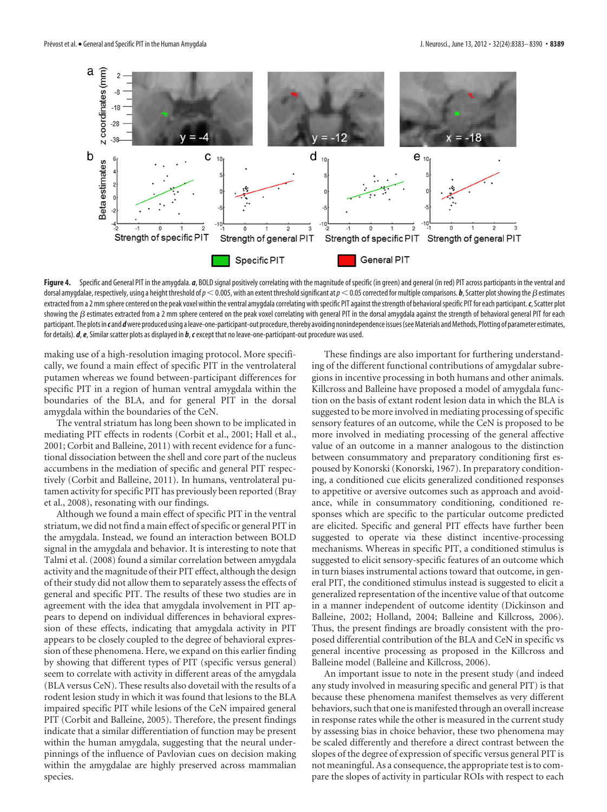

Figure 4. Specific and General PIT in the amygdala. *a*, BOLD signal positively correlating with the magnitude of specific (in green) and general (in red) PIT across participants in the ventral and dorsal amygdalae, respectively, using a height threshold of  $p$   $<$  0.005, with an extent threshold significant at  $p$   $<$  0.05 corrected for multiple comparisons.  $\bm{b}$ , Scatter plot showing the  $\beta$  estimates extracted from a 2 mm sphere centered on the peak voxel within the ventral amygdala correlating with specific PIT against the strength of behavioral specific PIT for each participant. *c*, Scatter plot showing the  $\beta$  estimates extracted from a 2 mm sphere centered on the peak voxel correlating with general PIT in the dorsal amygdala against the strength of behavioral general PIT for each participant. The plots in cand *d*were produced using a leave-one-participant-out procedure, thereby avoiding nonindependence issues (see Materials and Methods, Plotting of parameter estimates, for details). *d*,*e*, Similar scatter plots as displayed in *b*, *c*except that no leave-one-participant-out procedure was used.

making use of a high-resolution imaging protocol. More specifically, we found a main effect of specific PIT in the ventrolateral putamen whereas we found between-participant differences for specific PIT in a region of human ventral amygdala within the boundaries of the BLA, and for general PIT in the dorsal amygdala within the boundaries of the CeN.

The ventral striatum has long been shown to be implicated in mediating PIT effects in rodents (Corbit et al., 2001; Hall et al., 2001; Corbit and Balleine, 2011) with recent evidence for a functional dissociation between the shell and core part of the nucleus accumbens in the mediation of specific and general PIT respectively (Corbit and Balleine, 2011). In humans, ventrolateral putamen activity for specific PIT has previously been reported (Bray et al., 2008), resonating with our findings.

Although we found a main effect of specific PIT in the ventral striatum, we did not find a main effect of specific or general PIT in the amygdala. Instead, we found an interaction between BOLD signal in the amygdala and behavior. It is interesting to note that Talmi et al. (2008) found a similar correlation between amygdala activity and the magnitude of their PIT effect, although the design of their study did not allow them to separately assess the effects of general and specific PIT. The results of these two studies are in agreement with the idea that amygdala involvement in PIT appears to depend on individual differences in behavioral expression of these effects, indicating that amygdala activity in PIT appears to be closely coupled to the degree of behavioral expression of these phenomena. Here, we expand on this earlier finding by showing that different types of PIT (specific versus general) seem to correlate with activity in different areas of the amygdala (BLA versus CeN). These results also dovetail with the results of a rodent lesion study in which it was found that lesions to the BLA impaired specific PIT while lesions of the CeN impaired general PIT (Corbit and Balleine, 2005). Therefore, the present findings indicate that a similar differentiation of function may be present within the human amygdala, suggesting that the neural underpinnings of the influence of Pavlovian cues on decision making within the amygdalae are highly preserved across mammalian species.

These findings are also important for furthering understanding of the different functional contributions of amygdalar subregions in incentive processing in both humans and other animals. Killcross and Balleine have proposed a model of amygdala function on the basis of extant rodent lesion data in which the BLA is suggested to be more involved in mediating processing of specific sensory features of an outcome, while the CeN is proposed to be more involved in mediating processing of the general affective value of an outcome in a manner analogous to the distinction between consummatory and preparatory conditioning first espoused by Konorski (Konorski, 1967). In preparatory conditioning, a conditioned cue elicits generalized conditioned responses to appetitive or aversive outcomes such as approach and avoidance, while in consummatory conditioning, conditioned responses which are specific to the particular outcome predicted are elicited. Specific and general PIT effects have further been suggested to operate via these distinct incentive-processing mechanisms. Whereas in specific PIT, a conditioned stimulus is suggested to elicit sensory-specific features of an outcome which in turn biases instrumental actions toward that outcome, in general PIT, the conditioned stimulus instead is suggested to elicit a generalized representation of the incentive value of that outcome in a manner independent of outcome identity (Dickinson and Balleine, 2002; Holland, 2004; Balleine and Killcross, 2006). Thus, the present findings are broadly consistent with the proposed differential contribution of the BLA and CeN in specific vs general incentive processing as proposed in the Killcross and Balleine model (Balleine and Killcross, 2006).

An important issue to note in the present study (and indeed any study involved in measuring specific and general PIT) is that because these phenomena manifest themselves as very different behaviors, such that one is manifested through an overall increase in response rates while the other is measured in the current study by assessing bias in choice behavior, these two phenomena may be scaled differently and therefore a direct contrast between the slopes of the degree of expression of specific versus general PIT is not meaningful. As a consequence, the appropriate test is to compare the slopes of activity in particular ROIs with respect to each